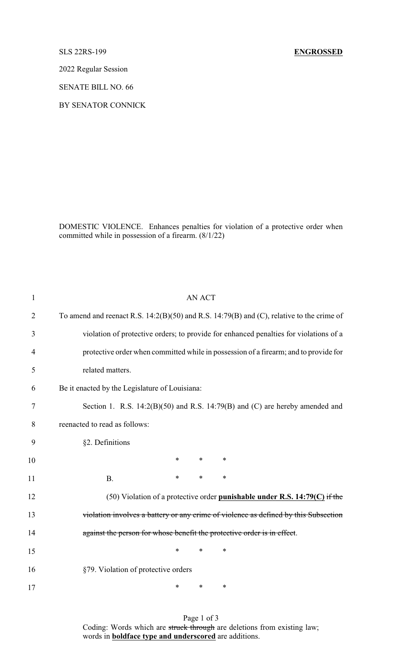2022 Regular Session

SENATE BILL NO. 66

BY SENATOR CONNICK

DOMESTIC VIOLENCE. Enhances penalties for violation of a protective order when committed while in possession of a firearm. (8/1/22)

| $\mathbf{1}$   | <b>AN ACT</b>                                                                                 |
|----------------|-----------------------------------------------------------------------------------------------|
| $\overline{2}$ | To amend and reenact R.S. $14:2(B)(50)$ and R.S. $14:79(B)$ and (C), relative to the crime of |
| 3              | violation of protective orders; to provide for enhanced penalties for violations of a         |
| 4              | protective order when committed while in possession of a firearm; and to provide for          |
| 5              | related matters.                                                                              |
| 6              | Be it enacted by the Legislature of Louisiana:                                                |
| 7              | Section 1. R.S. $14:2(B)(50)$ and R.S. $14:79(B)$ and (C) are hereby amended and              |
| 8              | reenacted to read as follows:                                                                 |
| 9              | §2. Definitions                                                                               |
| 10             | $\ast$<br>$\ast$<br>$\ast$                                                                    |
| 11             | $\ast$<br>*<br>$\ast$<br><b>B.</b>                                                            |
| 12             | (50) Violation of a protective order punishable under R.S. $14:79(C)$ if the                  |
| 13             | violation involves a battery or any crime of violence as defined by this Subsection           |
| 14             | against the person for whose benefit the protective order is in effect.                       |
| 15             | $\ast$<br>$\ast$<br>∗                                                                         |
| 16             | §79. Violation of protective orders                                                           |
| 17             | *<br>*<br>∗                                                                                   |

Page 1 of 3 Coding: Words which are struck through are deletions from existing law; words in **boldface type and underscored** are additions.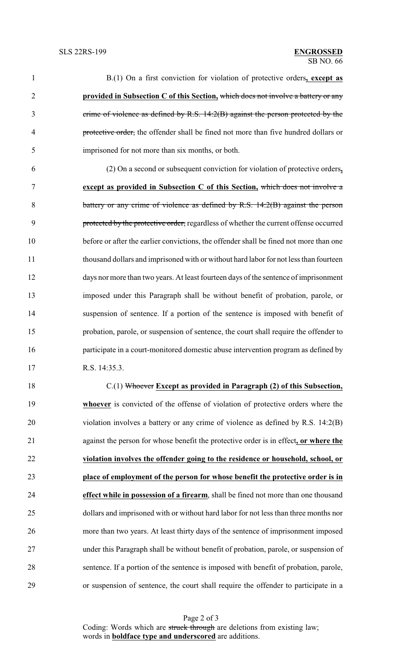B.(1) On a first conviction for violation of protective orders**, except as provided in Subsection C of this Section,** which does not involve a battery or any crime of violence as defined by R.S. 14:2(B) against the person protected by the protective order, the offender shall be fined not more than five hundred dollars or imprisoned for not more than six months, or both. (2) On a second or subsequent conviction for violation of protective orders**, except as provided in Subsection C of this Section,** which does not involve a

8 battery or any crime of violence as defined by R.S. 14:2(B) against the person 9 protected by the protective order, regardless of whether the current offense occurred before or after the earlier convictions, the offender shall be fined not more than one thousand dollars and imprisoned with or without hard labor for not less than fourteen days nor more than two years. At least fourteen days of the sentence of imprisonment imposed under this Paragraph shall be without benefit of probation, parole, or suspension of sentence. If a portion of the sentence is imposed with benefit of probation, parole, or suspension of sentence, the court shall require the offender to participate in a court-monitored domestic abuse intervention program as defined by R.S. 14:35.3.

 C.(1) Whoever **Except as provided in Paragraph (2) of this Subsection, whoever** is convicted of the offense of violation of protective orders where the violation involves a battery or any crime of violence as defined by R.S. 14:2(B) against the person for whose benefit the protective order is in effect**, or where the violation involves the offender going to the residence or household, school, or place of employment of the person for whose benefit the protective order is in effect while in possession of a firearm**, shall be fined not more than one thousand dollars and imprisoned with or without hard labor for not less than three months nor more than two years. At least thirty days of the sentence of imprisonment imposed under this Paragraph shall be without benefit of probation, parole, or suspension of sentence. If a portion of the sentence is imposed with benefit of probation, parole, or suspension of sentence, the court shall require the offender to participate in a

Page 2 of 3 Coding: Words which are struck through are deletions from existing law; words in **boldface type and underscored** are additions.